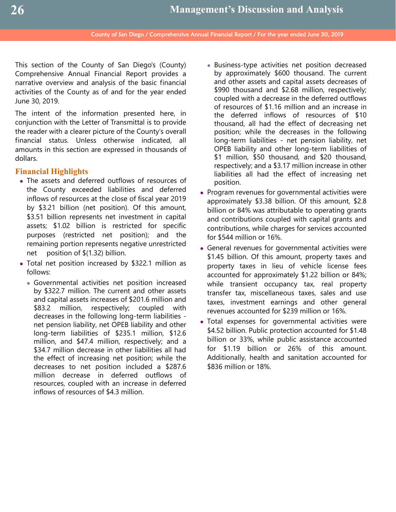This section of the County of San Diego's (County) Comprehensive Annual Financial Report provides a narrative overview and analysis of the basic financial activities of the County as of and for the year ended June 30, 2019.

The intent of the information presented here, in conjunction with the Letter of Transmittal is to provide the reader with a clearer picture of the County's overall financial status. Unless otherwise indicated, all amounts in this section are expressed in thousands of dollars.

## **Financial Highlights**

- The assets and deferred outflows of resources of the County exceeded liabilities and deferred inflows of resources at the close of fiscal year 2019 by \$3.21 billion (net position). Of this amount, \$3.51 billion represents net investment in capital assets; \$1.02 billion is restricted for specific purposes (restricted net position); and the remaining portion represents negative unrestricted net position of \$(1.32) billion.
- Total net position increased by \$322.1 million as follows:
	- Governmental activities net position increased by \$322.7 million. The current and other assets and capital assets increases of \$201.6 million and \$83.2 million, respectively; coupled with decreases in the following long-term liabilities net pension liability, net OPEB liability and other long-term liabilities of \$235.1 million, \$12.6 million, and \$47.4 million, respectively; and a \$34.7 million decrease in other liabilities all had the effect of increasing net position; while the decreases to net position included a \$287.6 million decrease in deferred outflows of resources, coupled with an increase in deferred inflows of resources of \$4.3 million.
- Business-type activities net position decreased by approximately \$600 thousand. The current and other assets and capital assets decreases of \$990 thousand and \$2.68 million, respectively; coupled with a decrease in the deferred outflows of resources of \$1.16 million and an increase in the deferred inflows of resources of \$10 thousand, all had the effect of decreasing net position; while the decreases in the following long-term liabilities - net pension liability, net OPEB liability and other long-term liabilities of \$1 million, \$50 thousand, and \$20 thousand, respectively; and a \$3.17 million increase in other liabilities all had the effect of increasing net position.
- Program revenues for governmental activities were approximately \$3.38 billion. Of this amount, \$2.8 billion or 84% was attributable to operating grants and contributions coupled with capital grants and contributions, while charges for services accounted for \$544 million or 16%.
- General revenues for governmental activities were \$1.45 billion. Of this amount, property taxes and property taxes in lieu of vehicle license fees accounted for approximately \$1.22 billion or 84%; while transient occupancy tax, real property transfer tax, miscellaneous taxes, sales and use taxes, investment earnings and other general revenues accounted for \$239 million or 16%.
- Total expenses for governmental activities were \$4.52 billion. Public protection accounted for \$1.48 billion or 33%, while public assistance accounted for \$1.19 billion or 26% of this amount. Additionally, health and sanitation accounted for \$836 million or 18%.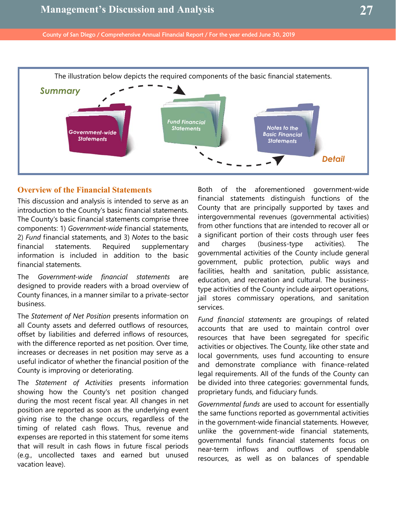

## **Overview of the Financial Statements**

This discussion and analysis is intended to serve as an introduction to the County's basic financial statements. The County's basic financial statements comprise three components: 1) *Government-wide* financial statements, 2) *Fund* financial statements, and 3) *Notes* to the basic financial statements. Required supplementary information is included in addition to the basic financial statements.

The *Government-wide financial statements* are designed to provide readers with a broad overview of County finances, in a manner similar to a private-sector business.

The *Statement of Net Position* presents information on all County assets and deferred outflows of resources, offset by liabilities and deferred inflows of resources, with the difference reported as net position. Over time, increases or decreases in net position may serve as a useful indicator of whether the financial position of the County is improving or deteriorating.

The *Statement of Activities* presents information showing how the County's net position changed during the most recent fiscal year. All changes in net position are reported as soon as the underlying event giving rise to the change occurs, regardless of the timing of related cash flows. Thus, revenue and expenses are reported in this statement for some items that will result in cash flows in future fiscal periods (e.g., uncollected taxes and earned but unused vacation leave).

Both of the aforementioned government-wide financial statements distinguish functions of the County that are principally supported by taxes and intergovernmental revenues (governmental activities) from other functions that are intended to recover all or a significant portion of their costs through user fees and charges (business-type activities). The governmental activities of the County include general government, public protection, public ways and facilities, health and sanitation, public assistance, education, and recreation and cultural. The businesstype activities of the County include airport operations, jail stores commissary operations, and sanitation services.

*Fund financial statements* are groupings of related accounts that are used to maintain control over resources that have been segregated for specific activities or objectives. The County, like other state and local governments, uses fund accounting to ensure and demonstrate compliance with finance-related legal requirements. All of the funds of the County can be divided into three categories: governmental funds, proprietary funds, and fiduciary funds.

*Governmental funds* are used to account for essentially the same functions reported as governmental activities in the government-wide financial statements. However, unlike the government-wide financial statements, governmental funds financial statements focus on near-term inflows and outflows of spendable resources, as well as on balances of spendable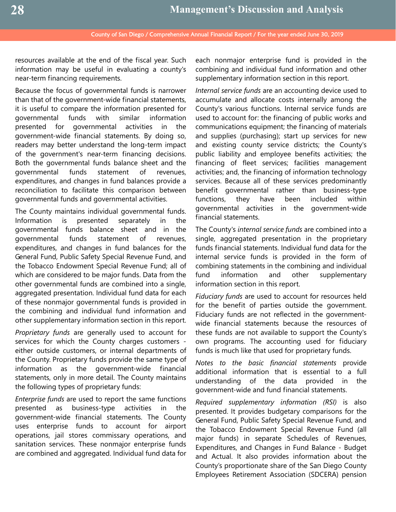resources available at the end of the fiscal year. Such information may be useful in evaluating a county's near-term financing requirements.

Because the focus of governmental funds is narrower than that of the government-wide financial statements, it is useful to compare the information presented for governmental funds with similar information presented for governmental activities in the government-wide financial statements. By doing so, readers may better understand the long-term impact of the government's near-term financing decisions. Both the governmental funds balance sheet and the governmental funds statement of revenues, expenditures, and changes in fund balances provide a reconciliation to facilitate this comparison between governmental funds and governmental activities.

The County maintains individual governmental funds. Information is presented separately in the governmental funds balance sheet and in the governmental funds statement of revenues, expenditures, and changes in fund balances for the General Fund, Public Safety Special Revenue Fund, and the Tobacco Endowment Special Revenue Fund; all of which are considered to be major funds. Data from the other governmental funds are combined into a single, aggregated presentation. Individual fund data for each of these nonmajor governmental funds is provided in the combining and individual fund information and other supplementary information section in this report.

*Proprietary funds* are generally used to account for services for which the County charges customers either outside customers, or internal departments of the County. Proprietary funds provide the same type of information as the government-wide financial statements, only in more detail. The County maintains the following types of proprietary funds:

*Enterprise funds* are used to report the same functions presented as business-type activities in the government-wide financial statements. The County uses enterprise funds to account for airport operations, jail stores commissary operations, and sanitation services. These nonmajor enterprise funds are combined and aggregated. Individual fund data for

each nonmajor enterprise fund is provided in the combining and individual fund information and other supplementary information section in this report.

*Internal service funds* are an accounting device used to accumulate and allocate costs internally among the County's various functions. Internal service funds are used to account for: the financing of public works and communications equipment; the financing of materials and supplies (purchasing); start up services for new and existing county service districts; the County's public liability and employee benefits activities; the financing of fleet services; facilities management activities; and, the financing of information technology services. Because all of these services predominantly benefit governmental rather than business-type functions, they have been included within governmental activities in the government-wide financial statements.

The County's *internal service funds* are combined into a single, aggregated presentation in the proprietary funds financial statements. Individual fund data for the internal service funds is provided in the form of combining statements in the combining and individual fund information and other supplementary information section in this report.

*Fiduciary funds* are used to account for resources held for the benefit of parties outside the government. Fiduciary funds are not reflected in the governmentwide financial statements because the resources of these funds are not available to support the County's own programs. The accounting used for fiduciary funds is much like that used for proprietary funds.

*Notes to the basic financial statements* provide additional information that is essential to a full understanding of the data provided in the government-wide and fund financial statements.

*Required supplementary information (RSI)* is also presented. It provides budgetary comparisons for the General Fund, Public Safety Special Revenue Fund, and the Tobacco Endowment Special Revenue Fund (all major funds) in separate Schedules of Revenues, Expenditures, and Changes in Fund Balance - Budget and Actual. It also provides information about the County's proportionate share of the San Diego County Employees Retirement Association (SDCERA) pension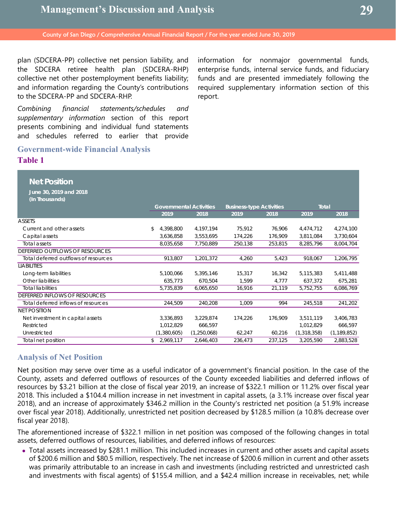plan (SDCERA-PP) collective net pension liability, and the SDCERA retiree health plan (SDCERA-RHP) collective net other postemployment benefits liability; and information regarding the County's contributions to the SDCERA-PP and SDCERA-RHP.

*Combining financial statements/schedules and supplementary information* section of this report presents combining and individual fund statements and schedules referred to earlier that provide

**Government-wide Financial Analysis**

**Table 1**

information for nonmajor governmental funds, enterprise funds, internal service funds, and fiduciary funds and are presented immediately following the required supplementary information section of this report.

| <b>Net Position</b>                      |                                |             |                                 |         |              |               |
|------------------------------------------|--------------------------------|-------------|---------------------------------|---------|--------------|---------------|
| June 30, 2019 and 2018<br>(In Thousands) |                                |             |                                 |         |              |               |
|                                          | <b>Governmental Activities</b> |             | <b>Business-type Activities</b> |         | <b>Total</b> |               |
|                                          | 2019                           | 2018        | 2019                            | 2018    | 2019         | 2018          |
| ASSETS                                   |                                |             |                                 |         |              |               |
| Current and other assets                 | \$<br>4,398,800                | 4,197,194   | 75,912                          | 76.906  | 4,474,712    | 4,274,100     |
| Capital assets                           | 3,636,858                      | 3,553,695   | 174,226                         | 176,909 | 3,811,084    | 3,730,604     |
| Total assets                             | 8,035,658                      | 7,750,889   | 250,138                         | 253,815 | 8,285,796    | 8,004,704     |
| DEFERRED OUTFLOWS OF RESOURCES           |                                |             |                                 |         |              |               |
| Total deferred outflows of resources     | 913,807                        | 1,201,372   | 4,260                           | 5,423   | 918,067      | 1,206,795     |
| <b>LIABILITIES</b>                       |                                |             |                                 |         |              |               |
| Long-term liabilities                    | 5,100,066                      | 5,395,146   | 15,317                          | 16,342  | 5,115,383    | 5,411,488     |
| Other liabilities                        | 635,773                        | 670,504     | 1,599                           | 4,777   | 637,372      | 675,281       |
| <b>Total liabilities</b>                 | 5,735,839                      | 6,065,650   | 16,916                          | 21,119  | 5,752,755    | 6,086,769     |
| DEFERRED INFLOWS OF RESOURCES            |                                |             |                                 |         |              |               |
| Total deferred inflows of resources      | 244,509                        | 240,208     | 1,009                           | 994     | 245,518      | 241,202       |
| <b>NET POSITION</b>                      |                                |             |                                 |         |              |               |
| Net investment in capital assets         | 3,336,893                      | 3,229,874   | 174,226                         | 176,909 | 3,511,119    | 3,406,783     |
| Restricted                               | 1,012,829                      | 666,597     |                                 |         | 1,012,829    | 666,597       |
| Unrestricted                             | (1,380,605)                    | (1,250,068) | 62,247                          | 60,216  | (1,318,358)  | (1, 189, 852) |
| Total net position                       | \$<br>2,969,117                | 2,646,403   | 236,473                         | 237,125 | 3,205,590    | 2,883,528     |
|                                          |                                |             |                                 |         |              |               |

## **Analysis of Net Position**

Net position may serve over time as a useful indicator of a government's financial position. In the case of the County, assets and deferred outflows of resources of the County exceeded liabilities and deferred inflows of resources by \$3.21 billion at the close of fiscal year 2019, an increase of \$322.1 million or 11.2% over fiscal year 2018. This included a \$104.4 million increase in net investment in capital assets, (a 3.1% increase over fiscal year 2018), and an increase of approximately \$346.2 million in the County's restricted net position (a 51.9% increase over fiscal year 2018). Additionally, unrestricted net position decreased by \$128.5 million (a 10.8% decrease over fiscal year 2018).

The aforementioned increase of \$322.1 million in net position was composed of the following changes in total assets, deferred outflows of resources, liabilities, and deferred inflows of resources:

 Total assets increased by \$281.1 million. This included increases in current and other assets and capital assets of \$200.6 million and \$80.5 million, respectively. The net increase of \$200.6 million in current and other assets was primarily attributable to an increase in cash and investments (including restricted and unrestricted cash and investments with fiscal agents) of \$155.4 million, and a \$42.4 million increase in receivables, net; while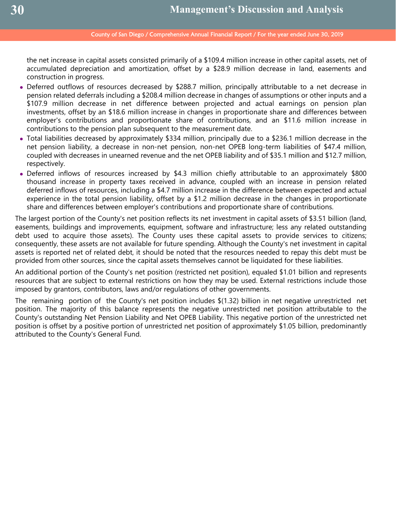the net increase in capital assets consisted primarily of a \$109.4 million increase in other capital assets, net of accumulated depreciation and amortization, offset by a \$28.9 million decrease in land, easements and construction in progress.

- Deferred outflows of resources decreased by \$288.7 million, principally attributable to a net decrease in pension related deferrals including a \$208.4 million decrease in changes of assumptions or other inputs and a \$107.9 million decrease in net difference between projected and actual earnings on pension plan investments, offset by an \$18.6 million increase in changes in proportionate share and differences between employer's contributions and proportionate share of contributions, and an \$11.6 million increase in contributions to the pension plan subsequent to the measurement date.
- Total liabilities decreased by approximately \$334 million, principally due to a \$236.1 million decrease in the net pension liability, a decrease in non-net pension, non-net OPEB long-term liabilities of \$47.4 million, coupled with decreases in unearned revenue and the net OPEB liability and of \$35.1 million and \$12.7 million, respectively.
- Deferred inflows of resources increased by \$4.3 million chiefly attributable to an approximately \$800 thousand increase in property taxes received in advance, coupled with an increase in pension related deferred inflows of resources, including a \$4.7 million increase in the difference between expected and actual experience in the total pension liability, offset by a \$1.2 million decrease in the changes in proportionate share and differences between employer's contributions and proportionate share of contributions.

The largest portion of the County's net position reflects its net investment in capital assets of \$3.51 billion (land, easements, buildings and improvements, equipment, software and infrastructure; less any related outstanding debt used to acquire those assets). The County uses these capital assets to provide services to citizens; consequently, these assets are not available for future spending. Although the County's net investment in capital assets is reported net of related debt, it should be noted that the resources needed to repay this debt must be provided from other sources, since the capital assets themselves cannot be liquidated for these liabilities.

An additional portion of the County's net position (restricted net position), equaled \$1.01 billion and represents resources that are subject to external restrictions on how they may be used. External restrictions include those imposed by grantors, contributors, laws and/or regulations of other governments.

The remaining portion of the County's net position includes \$(1.32) billion in net negative unrestricted net position. The majority of this balance represents the negative unrestricted net position attributable to the County's outstanding Net Pension Liability and Net OPEB Liability. This negative portion of the unrestricted net position is offset by a positive portion of unrestricted net position of approximately \$1.05 billion, predominantly attributed to the County's General Fund.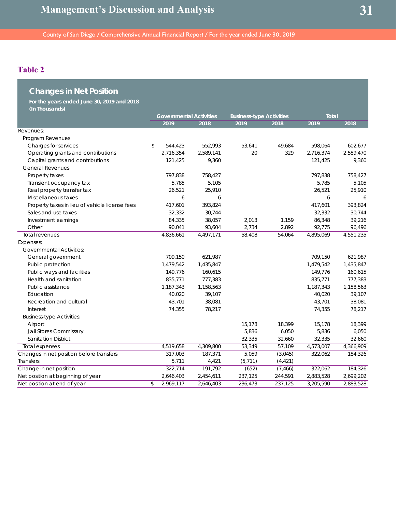# **Table 2**

| <b>Changes in Net Position</b>                 |                                |           |                                 |          |              |           |           |
|------------------------------------------------|--------------------------------|-----------|---------------------------------|----------|--------------|-----------|-----------|
| For the years ended June 30, 2019 and 2018     |                                |           |                                 |          |              |           |           |
| (In Thousands)                                 | <b>Governmental Activities</b> |           | <b>Business-type Activities</b> |          | <b>Total</b> |           |           |
|                                                |                                | 2019      | 2018                            | 2019     | 2018         | 2019      | 2018      |
| Revenues:                                      |                                |           |                                 |          |              |           |           |
| Program Revenues                               |                                |           |                                 |          |              |           |           |
| Charges for services                           | \$                             | 544,423   | 552,993                         | 53.641   | 49,684       | 598,064   | 602,677   |
| Operating grants and contributions             |                                | 2,716,354 | 2,589,141                       | 20       | 329          | 2,716,374 | 2,589,470 |
| Capital grants and contributions               |                                | 121,425   | 9,360                           |          |              | 121,425   | 9,360     |
| <b>General Revenues</b>                        |                                |           |                                 |          |              |           |           |
| Property taxes                                 |                                | 797,838   | 758,427                         |          |              | 797,838   | 758,427   |
| Transient occupancy tax                        |                                | 5,785     | 5,105                           |          |              | 5,785     | 5,105     |
| Real property transfer tax                     |                                | 26,521    | 25,910                          |          |              | 26,521    | 25,910    |
| Miscellaneous taxes                            |                                | 6         | 6                               |          |              | 6         | 6         |
| Property taxes in lieu of vehicle license fees |                                | 417,601   | 393,824                         |          |              | 417,601   | 393,824   |
| Sales and use taxes                            |                                | 32,332    | 30,744                          |          |              | 32,332    | 30,744    |
| Investment earnings                            |                                | 84,335    | 38,057                          | 2,013    | 1,159        | 86,348    | 39,216    |
| Other                                          |                                | 90,041    | 93,604                          | 2,734    | 2,892        | 92,775    | 96,496    |
| <b>Total revenues</b>                          |                                | 4,836,661 | 4,497,171                       | 58,408   | 54,064       | 4,895,069 | 4,551,235 |
| Expenses:                                      |                                |           |                                 |          |              |           |           |
| <b>Governmental Activities:</b>                |                                |           |                                 |          |              |           |           |
| General government                             |                                | 709,150   | 621,987                         |          |              | 709,150   | 621,987   |
| Public protection                              |                                | 1,479,542 | 1,435,847                       |          |              | 1,479,542 | 1,435,847 |
| Public ways and facilities                     |                                | 149,776   | 160,615                         |          |              | 149,776   | 160,615   |
| Health and sanitation                          |                                | 835,771   | 777,383                         |          |              | 835,771   | 777,383   |
| Public assistance                              |                                | 1,187,343 | 1,158,563                       |          |              | 1,187,343 | 1,158,563 |
| Education                                      |                                | 40,020    | 39,107                          |          |              | 40,020    | 39,107    |
| Recreation and cultural                        |                                | 43,701    | 38,081                          |          |              | 43,701    | 38,081    |
| Interest                                       |                                | 74,355    | 78,217                          |          |              | 74,355    | 78,217    |
| <b>Business-type Activities:</b>               |                                |           |                                 |          |              |           |           |
| Airport                                        |                                |           |                                 | 15,178   | 18,399       | 15,178    | 18,399    |
| Jail Stores Commissary                         |                                |           |                                 | 5,836    | 6,050        | 5,836     | 6,050     |
| <b>Sanitation District</b>                     |                                |           |                                 | 32,335   | 32,660       | 32,335    | 32,660    |
| Total expenses                                 |                                | 4,519,658 | 4,309,800                       | 53,349   | 57,109       | 4,573,007 | 4,366,909 |
| Changes in net position before transfers       |                                | 317,003   | 187,371                         | 5,059    | (3,045)      | 322,062   | 184,326   |
| Transfers                                      |                                | 5,711     | 4,421                           | (5, 711) | (4, 421)     |           |           |
| Change in net position                         |                                | 322,714   | 191,792                         | (652)    | (7, 466)     | 322,062   | 184,326   |
| Net position at beginning of year              |                                | 2,646,403 | 2,454,611                       | 237,125  | 244,591      | 2,883,528 | 2,699,202 |
| Net position at end of year                    | \$                             | 2,969,117 | 2,646,403                       | 236,473  | 237,125      | 3,205,590 | 2,883,528 |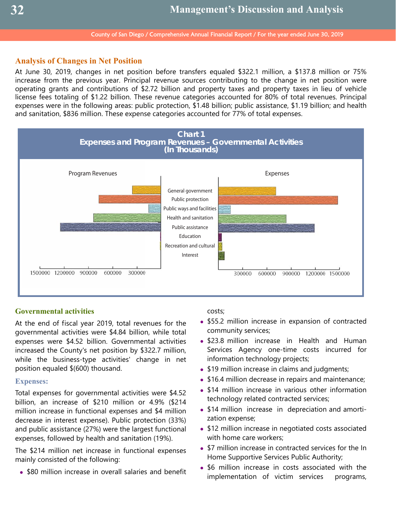## **Analysis of Changes in Net Position**

At June 30, 2019, changes in net position before transfers equaled \$322.1 million, a \$137.8 million or 75% increase from the previous year. Principal revenue sources contributing to the change in net position were operating grants and contributions of \$2.72 billion and property taxes and property taxes in lieu of vehicle license fees totaling of \$1.22 billion. These revenue categories accounted for 80% of total revenues. Principal expenses were in the following areas: public protection, \$1.48 billion; public assistance, \$1.19 billion; and health and sanitation, \$836 million. These expense categories accounted for 77% of total expenses.



## **Governmental activities**

At the end of fiscal year 2019, total revenues for the governmental activities were \$4.84 billion, while total expenses were \$4.52 billion. Governmental activities increased the County's net position by \$322.7 million, while the business-type activities' change in net position equaled \$(600) thousand.

#### **Expenses:**

Total expenses for governmental activities were \$4.52 billion, an increase of \$210 million or 4.9% (\$214 million increase in functional expenses and \$4 million decrease in interest expense). Public protection (33%) and public assistance (27%) were the largest functional expenses, followed by health and sanitation (19%).

The \$214 million net increase in functional expenses mainly consisted of the following:

• \$80 million increase in overall salaries and benefit

#### costs;

- \$55.2 million increase in expansion of contracted community services;
- \$23.8 million increase in Health and Human Services Agency one-time costs incurred for information technology projects;
- \$19 million increase in claims and judgments;
- \$16.4 million decrease in repairs and maintenance;
- \$14 million increase in various other information technology related contracted services;
- \$14 million increase in depreciation and amortization expense;
- \$12 million increase in negotiated costs associated with home care workers;
- \$7 million increase in contracted services for the In Home Supportive Services Public Authority;
- \$6 million increase in costs associated with the implementation of victim services programs,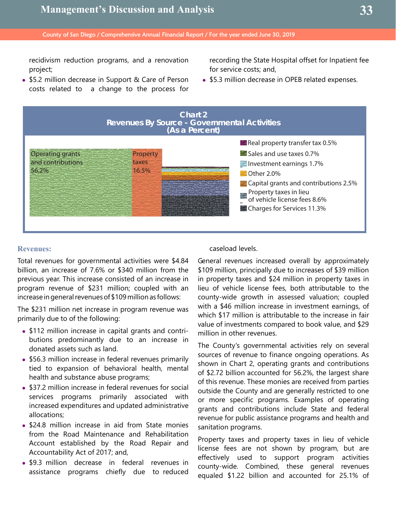recidivism reduction programs, and a renovation project;

• \$5.2 million decrease in Support & Care of Person costs related to a change to the process for recording the State Hospital offset for Inpatient fee for service costs; and,

• \$5.3 million decrease in OPEB related expenses.



#### **Revenues:**

Total revenues for governmental activities were \$4.84 billion, an increase of 7.6% or \$340 million from the previous year. This increase consisted of an increase in program revenue of \$231 million; coupled with an increase in general revenues of \$109 million as follows:

The \$231 million net increase in program revenue was primarily due to of the following:

- \$112 million increase in capital grants and contributions predominantly due to an increase in donated assets such as land.
- \$56.3 million increase in federal revenues primarily tied to expansion of behavioral health, mental health and substance abuse programs;
- \$37.2 million increase in federal revenues for social services programs primarily associated with increased expenditures and updated administrative allocations;
- \$24.8 million increase in aid from State monies from the Road Maintenance and Rehabilitation Account established by the Road Repair and Accountability Act of 2017; and,
- \$9.3 million decrease in federal revenues in assistance programs chiefly due to reduced

### caseload levels.

General revenues increased overall by approximately \$109 million, principally due to increases of \$39 million in property taxes and \$24 million in property taxes in lieu of vehicle license fees, both attributable to the county-wide growth in assessed valuation; coupled with a \$46 million increase in investment earnings, of which \$17 million is attributable to the increase in fair value of investments compared to book value, and \$29 million in other revenues.

The County's governmental activities rely on several sources of revenue to finance ongoing operations. As shown in Chart 2, operating grants and contributions of \$2.72 billion accounted for 56.2%, the largest share of this revenue. These monies are received from parties outside the County and are generally restricted to one or more specific programs. Examples of operating grants and contributions include State and federal revenue for public assistance programs and health and sanitation programs.

Property taxes and property taxes in lieu of vehicle license fees are not shown by program, but are effectively used to support program activities county-wide. Combined, these general revenues equaled \$1.22 billion and accounted for 25.1% of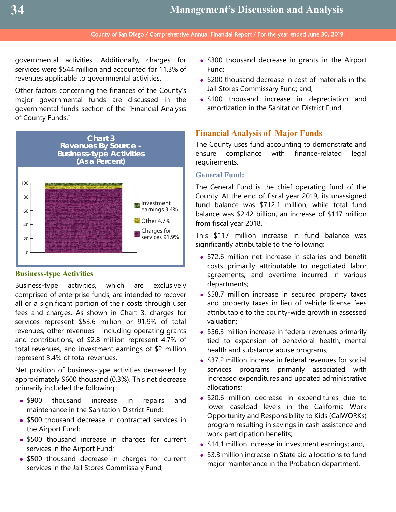governmental activities. Additionally, charges for services were \$544 million and accounted for 11.3% of revenues applicable to governmental activities.

Other factors concerning the finances of the County's major governmental funds are discussed in the governmental funds section of the "Financial Analysis of County Funds."



## **Business-type Activities**

Business-type activities, which are exclusively comprised of enterprise funds, are intended to recover all or a significant portion of their costs through user fees and charges. As shown in Chart 3, charges for services represent \$53.6 million or 91.9% of total revenues, other revenues - including operating grants and contributions, of \$2.8 million represent 4.7% of total revenues, and investment earnings of \$2 million represent 3.4% of total revenues.

Net position of business-type activities decreased by approximately \$600 thousand (0.3%). This net decrease primarily included the following:

- \$900 thousand increase in repairs and maintenance in the Sanitation District Fund;
- \$500 thousand decrease in contracted services in the Airport Fund;
- \$500 thousand increase in charges for current services in the Airport Fund;
- \$500 thousand decrease in charges for current services in the Jail Stores Commissary Fund;
- \$300 thousand decrease in grants in the Airport Fund;
- \$200 thousand decrease in cost of materials in the Jail Stores Commissary Fund; and,
- \$100 thousand increase in depreciation and amortization in the Sanitation District Fund.

## **Financial Analysis of Major Funds**

The County uses fund accounting to demonstrate and ensure compliance with finance-related legal requirements.

## **General Fund:**

The General Fund is the chief operating fund of the County. At the end of fiscal year 2019, its unassigned fund balance was \$712.1 million, while total fund balance was \$2.42 billion, an increase of \$117 million from fiscal year 2018.

This \$117 million increase in fund balance was significantly attributable to the following:

- \$72.6 million net increase in salaries and benefit costs primarily attributable to negotiated labor agreements, and overtime incurred in various departments;
- \$58.7 million increase in secured property taxes and property taxes in lieu of vehicle license fees attributable to the county-wide growth in assessed valuation;
- \$56.3 million increase in federal revenues primarily tied to expansion of behavioral health, mental health and substance abuse programs;
- \$37.2 million increase in federal revenues for social services programs primarily associated with increased expenditures and updated administrative allocations;
- \$20.6 million decrease in expenditures due to lower caseload levels in the California Work Opportunity and Responsibility to Kids (CalWORKs) program resulting in savings in cash assistance and work participation benefits;
- \$14.1 million increase in investment earnings; and,
- \$3.3 million increase in State aid allocations to fund major maintenance in the Probation department.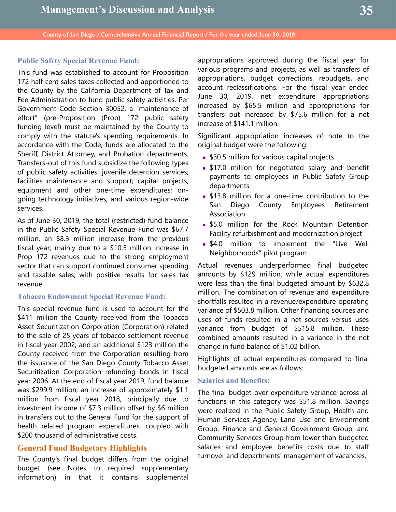## **Public Safety Special Revenue Fund:**

This fund was established to account for Proposition 172 half-cent sales taxes collected and apportioned to the County by the California Department of Tax and Fee Administration to fund public safety activities. Per Government Code Section 30052, a "maintenance of effort" (pre-Proposition (Prop) 172 public safety funding level) must be maintained by the County to comply with the statute's spending requirements. In accordance with the Code, funds are allocated to the Sheriff, District Attorney, and Probation departments. Transfers-out of this fund subsidize the following types of public safety activities: juvenile detention services; facilities maintenance and support; capital projects, equipment and other one-time expenditures; ongoing technology initiatives; and various region-wide services.

As of June 30, 2019, the total (restricted) fund balance in the Public Safety Special Revenue Fund was \$67.7 million, an \$8.3 million increase from the previous fiscal year; mainly due to a \$10.5 million increase in Prop 172 revenues due to the strong employment sector that can support continued consumer spending and taxable sales, with positive results for sales tax revenue.

### **Tobacco Endowment Special Revenue Fund:**

This special revenue fund is used to account for the \$411 million the County received from the Tobacco Asset Securitization Corporation (Corporation) related to the sale of 25 years of tobacco settlement revenue in fiscal year 2002; and an additional \$123 million the County received from the Corporation resulting from the issuance of the San Diego County Tobacco Asset Securitization Corporation refunding bonds in fiscal year 2006. At the end of fiscal year 2019, fund balance was \$299.9 million, an increase of approximately \$1.1 million from fiscal year 2018, principally due to investment income of \$7.3 million offset by \$6 million in transfers out to the General Fund for the support of health related program expenditures, coupled with \$200 thousand of administrative costs.

## **General Fund Budgetary Highlights**

The County's final budget differs from the original budget (see Notes to required supplementary information) in that it contains supplemental appropriations approved during the fiscal year for various programs and projects, as well as transfers of appropriations, budget corrections, rebudgets, and account reclassifications. For the fiscal year ended June 30, 2019, net expenditure appropriations increased by \$65.5 million and appropriations for transfers out increased by \$75.6 million for a net increase of \$141.1 million.

Significant appropriation increases of note to the original budget were the following:

- \$30.5 million for various capital projects
- \$17.0 million for negotiated salary and benefit payments to employees in Public Safety Group departments
- \$13.8 million for a one-time contribution to the San Diego County Employees Retirement Association
- **.** \$5.0 million for the Rock Mountain Detention Facility refurbishment and modernization project
- **.** \$4.0 million to implement the "Live Well Neighborhoods" pilot program

Actual revenues underperformed final budgeted amounts by \$129 million, while actual expenditures were less than the final budgeted amount by \$632.8 million. The combination of revenue and expenditure shortfalls resulted in a revenue/expenditure operating variance of \$503.8 million. Other financing sources and uses of funds resulted in a net sources versus uses variance from budget of \$515.8 million. These combined amounts resulted in a variance in the net change in fund balance of \$1.02 billion.

Highlights of actual expenditures compared to final budgeted amounts are as follows:

#### **Salaries and Benefits:**

The final budget over expenditure variance across all functions in this category was \$51.8 million. Savings were realized in the Public Safety Group, Health and Human Services Agency, Land Use and Environment Group, Finance and General Government Group, and Community Services Group from lower than budgeted salaries and employee benefits costs due to staff turnover and departments' management of vacancies.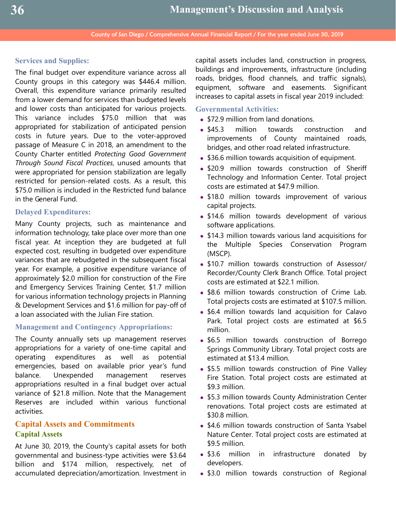## **Services and Supplies:**

The final budget over expenditure variance across all County groups in this category was \$446.4 million. Overall, this expenditure variance primarily resulted from a lower demand for services than budgeted levels and lower costs than anticipated for various projects. This variance includes \$75.0 million that was appropriated for stabilization of anticipated pension costs in future years. Due to the voter-approved passage of Measure C in 2018, an amendment to the County Charter entitled *Protecting Good Government Through Sound Fiscal Practices*, unused amounts that were appropriated for pension stabilization are legally restricted for pension-related costs. As a result, this \$75.0 million is included in the Restricted fund balance in the General Fund.

#### **Delayed Expenditures:**

Many County projects, such as maintenance and information technology, take place over more than one fiscal year. At inception they are budgeted at full expected cost, resulting in budgeted over expenditure variances that are rebudgeted in the subsequent fiscal year. For example, a positive expenditure variance of approximately \$2.0 million for construction of the Fire and Emergency Services Training Center, \$1.7 million for various information technology projects in Planning & Development Services and \$1.6 million for pay-off of a loan associated with the Julian Fire station.

### **Management and Contingency Appropriations:**

The County annually sets up management reserves appropriations for a variety of one-time capital and operating expenditures as well as potential emergencies, based on available prior year's fund balance. Unexpended management reserves appropriations resulted in a final budget over actual variance of \$21.8 million. Note that the Management Reserves are included within various functional activities.

# **Capital Assets and Commitments Capital Assets**

At June 30, 2019, the County's capital assets for both governmental and business-type activities were \$3.64 billion and \$174 million, respectively, net of accumulated depreciation/amortization. Investment in

capital assets includes land, construction in progress, buildings and improvements, infrastructure (including roads, bridges, flood channels, and traffic signals), equipment, software and easements. Significant increases to capital assets in fiscal year 2019 included:

### **Governmental Activities:**

- \$72.9 million from land donations.
- **\$45.3** million towards construction and improvements of County maintained roads, bridges, and other road related infrastructure.
- \$36.6 million towards acquisition of equipment.
- . \$20.9 million towards construction of Sheriff Technology and Information Center. Total project costs are estimated at \$47.9 million.
- \$18.0 million towards improvement of various capital projects.
- \$14.6 million towards development of various software applications.
- **\$14.3 million towards various land acquisitions for** the Multiple Species Conservation Program (MSCP).
- \$10.7 million towards construction of Assessor/ Recorder/County Clerk Branch Office. Total project costs are estimated at \$22.1 million.
- \$8.6 million towards construction of Crime Lab. Total projects costs are estimated at \$107.5 million.
- **\$6.4 million towards land acquisition for Calavo** Park. Total project costs are estimated at \$6.5 million.
- \$6.5 million towards construction of Borrego Springs Community Library. Total project costs are estimated at \$13.4 million.
- \$5.5 million towards construction of Pine Valley Fire Station. Total project costs are estimated at \$9.3 million.
- \$5.3 million towards County Administration Center renovations. Total project costs are estimated at \$30.8 million.
- \$4.6 million towards construction of Santa Ysabel Nature Center. Total project costs are estimated at \$9.5 million.
- \$3.6 million in infrastructure donated by developers.
- . \$3.0 million towards construction of Regional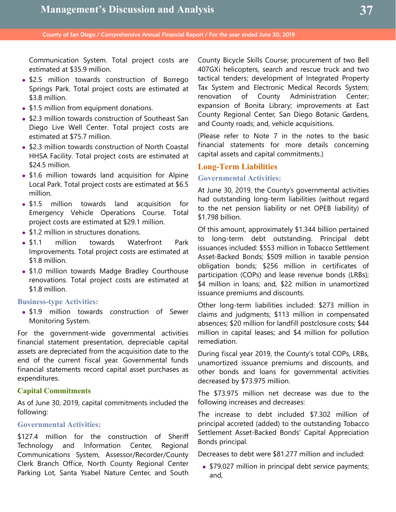Communication System. Total project costs are estimated at \$35.9 million.

- \$2.5 million towards construction of Borrego Springs Park. Total project costs are estimated at \$3.8 million.
- \$1.5 million from equipment donations.
- \$2.3 million towards construction of Southeast San Diego Live Well Center. Total project costs are estimated at \$75.7 million.
- **.** \$2.3 million towards construction of North Coastal HHSA Facility. Total project costs are estimated at \$24.5 million.
- \$1.6 million towards land acquisition for Alpine Local Park. Total project costs are estimated at \$6.5 million.
- **\$1.5 million towards land acquisition for** Emergency Vehicle Operations Course. Total project costs are estimated at \$29.1 million.
- \$1.2 million in structures donations.
- \$1.1 million towards Waterfront Park Improvements. Total project costs are estimated at \$1.8 million.
- \$1.0 million towards Madge Bradley Courthouse renovations. Total project costs are estimated at \$1.8 million.

#### **Business-type Activities:**

• \$1.9 million towards construction of Sewer Monitoring System.

For the government-wide governmental activities financial statement presentation, depreciable capital assets are depreciated from the acquisition date to the end of the current fiscal year. Governmental funds financial statements record capital asset purchases as expenditures.

## **Capital Commitments**

As of June 30, 2019, capital commitments included the following:

### **Governmental Activities:**

\$127.4 million for the construction of Sheriff Technology and Information Center, Regional Communications System, Assessor/Recorder/County Clerk Branch Office, North County Regional Center Parking Lot, Santa Ysabel Nature Center, and South County Bicycle Skills Course; procurement of two Bell 407GXi helicopters, search and rescue truck and two tactical tenders; development of Integrated Property Tax System and Electronic Medical Records System; renovation of County Administration Center; expansion of Bonita Library; improvements at East County Regional Center, San Diego Botanic Gardens, and County roads; and, vehicle acquisitions.

(Please refer to Note 7 in the notes to the basic financial statements for more details concerning capital assets and capital commitments.)

### **Long-Term Liabilities**

#### **Governmental Activities:**

At June 30, 2019, the County's governmental activities had outstanding long-term liabilities (without regard to the net pension liability or net OPEB liability) of \$1.798 billion.

Of this amount, approximately \$1.344 billion pertained to long-term debt outstanding. Principal debt issuances included: \$553 million in Tobacco Settlement Asset-Backed Bonds; \$509 million in taxable pension obligation bonds; \$256 million in certificates of participation (COPs) and lease revenue bonds (LRBs); \$4 million in loans; and, \$22 million in unamortized issuance premiums and discounts.

Other long-term liabilities included: \$273 million in claims and judgments; \$113 million in compensated absences; \$20 million for landfill postclosure costs; \$44 million in capital leases; and \$4 million for pollution remediation.

During fiscal year 2019, the County's total COPs, LRBs, unamortized issuance premiums and discounts, and other bonds and loans for governmental activities decreased by \$73.975 million.

The \$73.975 million net decrease was due to the following increases and decreases:

The increase to debt included \$7.302 million of principal accreted (added) to the outstanding Tobacco Settlement Asset-Backed Bonds' Capital Appreciation Bonds principal.

Decreases to debt were \$81.277 million and included:

• \$79.027 million in principal debt service payments; and,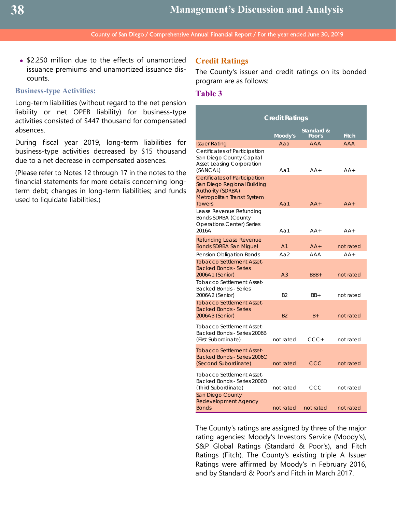• \$2.250 million due to the effects of unamortized issuance premiums and unamortized issuance discounts.

#### **Business-type Activities:**

Long-term liabilities (without regard to the net pension liability or net OPEB liability) for business-type activities consisted of \$447 thousand for compensated absences.

During fiscal year 2019, long-term liabilities for business-type activities decreased by \$15 thousand due to a net decrease in compensated absences.

(Please refer to Notes 12 through 17 in the notes to the financial statements for more details concerning longterm debt; changes in long-term liabilities; and funds used to liquidate liabilities.)

## **Credit Ratings**

The County's issuer and credit ratings on its bonded program are as follows:

## **Table 3**

|                                                                                                                                                                                                                                         | <b>Credit Ratings</b> |                      |              |  |  |
|-----------------------------------------------------------------------------------------------------------------------------------------------------------------------------------------------------------------------------------------|-----------------------|----------------------|--------------|--|--|
|                                                                                                                                                                                                                                         | Moody's               | Standard &<br>Poor's | Fitch        |  |  |
| Issuer Rating                                                                                                                                                                                                                           | Aaa                   | <b>AAA</b>           | <b>AAA</b>   |  |  |
| Certificates of Participation<br>San Diego County Capital<br><b>Asset Leasing Corporation</b><br>(SANCAL)                                                                                                                               | Aa1                   | $AA+$                | $AA+$        |  |  |
| <b>Certificates of Participation</b><br>San Diego Regional Building<br><b>Authority (SDRBA)</b><br>Metropolitan Transit System<br>Towers<br>Lease Revenue Refunding<br>Bonds SDRBA (County<br><b>Operations Center) Series</b><br>2016A | Aa1<br>Aa1            | $AA+$<br>AA+         | $AA+$<br>AA+ |  |  |
| Refunding Lease Revenue<br>Bonds SDRBA San Miguel                                                                                                                                                                                       | A <sub>1</sub>        | $AA+$                | not rated    |  |  |
| Pension Obligation Bonds                                                                                                                                                                                                                | Aa2                   | AAA                  | $AA+$        |  |  |
| <b>Tobacco Settlement Asset-</b><br><b>Backed Bonds - Series</b><br>2006A1 (Senior)<br><b>Tobacco Settlement Asset-</b><br><b>Backed Bonds - Series</b>                                                                                 | A <sub>3</sub>        | BBB+                 | not rated    |  |  |
| 2006A2 (Senior)                                                                                                                                                                                                                         | B <sub>2</sub>        | $BB+$                | not rated    |  |  |
| <b>Tobacco Settlement Asset-</b><br><b>Backed Bonds - Series</b><br>2006A3 (Senior)                                                                                                                                                     | B <sub>2</sub>        | $B+$                 | not rated    |  |  |
| <b>Tobacco Settlement Asset-</b><br>Backed Bonds - Series 2006B<br>(First Subordinate)                                                                                                                                                  | not rated             | CCC+                 | not rated    |  |  |
| <b>Tobacco Settlement Asset-</b><br>Backed Bonds - Series 2006C<br>(Second Subordinate)                                                                                                                                                 | not rated             | CCC                  | not rated    |  |  |
| <b>Tobacco Settlement Asset-</b><br>Backed Bonds - Series 2006D<br>(Third Subordinate)                                                                                                                                                  | not rated             | CCC                  | not rated    |  |  |
| San Diego County<br>Redevelopment Agency<br><b>Bonds</b>                                                                                                                                                                                | not rated             | not rated            | not rated    |  |  |

The County's ratings are assigned by three of the major rating agencies: Moody's Investors Service (Moody's), S&P Global Ratings (Standard & Poor's), and Fitch Ratings (Fitch). The County's existing triple A Issuer Ratings were affirmed by Moody's in February 2016, and by Standard & Poor's and Fitch in March 2017.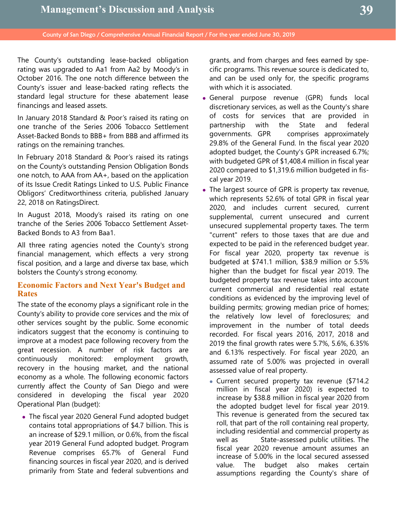The County's outstanding lease-backed obligation rating was upgraded to Aa1 from Aa2 by Moody's in October 2016. The one notch difference between the County's issuer and lease-backed rating reflects the standard legal structure for these abatement lease financings and leased assets.

In January 2018 Standard & Poor's raised its rating on one tranche of the Series 2006 Tobacco Settlement Asset-Backed Bonds to BBB+ from BBB and affirmed its ratings on the remaining tranches.

In February 2018 Standard & Poor's raised its ratings on the County's outstanding Pension Obligation Bonds one notch, to AAA from AA+, based on the application of its Issue Credit Ratings Linked to U.S. Public Finance Obligors' Creditworthiness criteria, published January 22, 2018 on RatingsDirect.

In August 2018, Moody's raised its rating on one tranche of the Series 2006 Tobacco Settlement Asset-Backed Bonds to A3 from Baa1.

All three rating agencies noted the County's strong financial management, which effects a very strong fiscal position, and a large and diverse tax base, which bolsters the County's strong economy.

## **Economic Factors and Next Year's Budget and Rates**

The state of the economy plays a significant role in the County's ability to provide core services and the mix of other services sought by the public. Some economic indicators suggest that the economy is continuing to improve at a modest pace following recovery from the great recession. A number of risk factors are continuously monitored: employment growth, recovery in the housing market, and the national economy as a whole. The following economic factors currently affect the County of San Diego and were considered in developing the fiscal year 2020 Operational Plan (budget):

 The fiscal year 2020 General Fund adopted budget contains total appropriations of \$4.7 billion. This is an increase of \$29.1 million, or 0.6%, from the fiscal year 2019 General Fund adopted budget. Program Revenue comprises 65.7% of General Fund financing sources in fiscal year 2020, and is derived primarily from State and federal subventions and

grants, and from charges and fees earned by specific programs. This revenue source is dedicated to, and can be used only for, the specific programs with which it is associated.

- General purpose revenue (GPR) funds local discretionary services, as well as the County's share of costs for services that are provided in partnership with the State and federal governments. GPR comprises approximately 29.8% of the General Fund. In the fiscal year 2020 adopted budget, the County's GPR increased 6.7%; with budgeted GPR of \$1,408.4 million in fiscal year 2020 compared to \$1,319.6 million budgeted in fiscal year 2019.
- The largest source of GPR is property tax revenue, which represents 52.6% of total GPR in fiscal year 2020, and includes current secured, current supplemental, current unsecured and current unsecured supplemental property taxes. The term "current" refers to those taxes that are due and expected to be paid in the referenced budget year. For fiscal year 2020, property tax revenue is budgeted at \$741.1 million, \$38.9 million or 5.5% higher than the budget for fiscal year 2019. The budgeted property tax revenue takes into account current commercial and residential real estate conditions as evidenced by the improving level of building permits; growing median price of homes; the relatively low level of foreclosures; and improvement in the number of total deeds recorded. For fiscal years 2016, 2017, 2018 and 2019 the final growth rates were 5.7%, 5.6%, 6.35% and 6.13% respectively. For fiscal year 2020, an assumed rate of 5.00% was projected in overall assessed value of real property.
	- Current secured property tax revenue (\$714.2 million in fiscal year 2020) is expected to increase by \$38.8 million in fiscal year 2020 from the adopted budget level for fiscal year 2019. This revenue is generated from the secured tax roll, that part of the roll containing real property, including residential and commercial property as well as State-assessed public utilities. The fiscal year 2020 revenue amount assumes an increase of 5.00% in the local secured assessed value. The budget also makes certain assumptions regarding the County's share of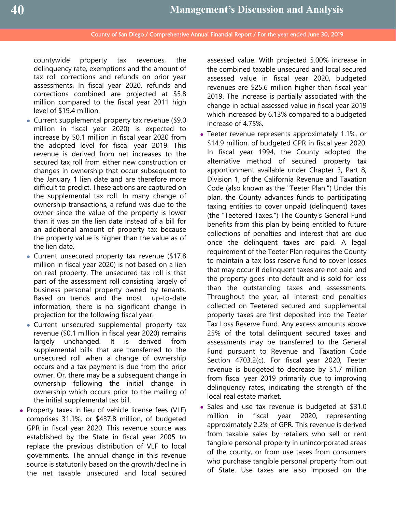countywide property tax revenues, the delinquency rate, exemptions and the amount of tax roll corrections and refunds on prior year assessments. In fiscal year 2020, refunds and corrections combined are projected at \$5.8 million compared to the fiscal year 2011 high level of \$19.4 million.

- Current supplemental property tax revenue (\$9.0 million in fiscal year 2020) is expected to increase by \$0.1 million in fiscal year 2020 from the adopted level for fiscal year 2019. This revenue is derived from net increases to the secured tax roll from either new construction or changes in ownership that occur subsequent to the January 1 lien date and are therefore more difficult to predict. These actions are captured on the supplemental tax roll. In many change of ownership transactions, a refund was due to the owner since the value of the property is lower than it was on the lien date instead of a bill for an additional amount of property tax because the property value is higher than the value as of the lien date.
- Current unsecured property tax revenue (\$17.8 million in fiscal year 2020) is not based on a lien on real property. The unsecured tax roll is that part of the assessment roll consisting largely of business personal property owned by tenants. Based on trends and the most up-to-date information, there is no significant change in projection for the following fiscal year.
- Current unsecured supplemental property tax revenue (\$0.1 million in fiscal year 2020) remains largely unchanged. It is derived from supplemental bills that are transferred to the unsecured roll when a change of ownership occurs and a tax payment is due from the prior owner. Or, there may be a subsequent change in ownership following the initial change in ownership which occurs prior to the mailing of the initial supplemental tax bill.
- Property taxes in lieu of vehicle license fees (VLF) comprises 31.1%, or \$437.8 million, of budgeted GPR in fiscal year 2020. This revenue source was established by the State in fiscal year 2005 to replace the previous distribution of VLF to local governments. The annual change in this revenue source is statutorily based on the growth/decline in the net taxable unsecured and local secured

assessed value. With projected 5.00% increase in the combined taxable unsecured and local secured assessed value in fiscal year 2020, budgeted revenues are \$25.6 million higher than fiscal year 2019. The increase is partially associated with the change in actual assessed value in fiscal year 2019 which increased by 6.13% compared to a budgeted increase of 4.75%.

- Teeter revenue represents approximately 1.1%, or \$14.9 million, of budgeted GPR in fiscal year 2020. In fiscal year 1994, the County adopted the alternative method of secured property tax apportionment available under Chapter 3, Part 8, Division 1, of the California Revenue and Taxation Code (also known as the "Teeter Plan.") Under this plan, the County advances funds to participating taxing entities to cover unpaid (delinquent) taxes (the "Teetered Taxes.") The County's General Fund benefits from this plan by being entitled to future collections of penalties and interest that are due once the delinquent taxes are paid. A legal requirement of the Teeter Plan requires the County to maintain a tax loss reserve fund to cover losses that may occur if delinquent taxes are not paid and the property goes into default and is sold for less than the outstanding taxes and assessments. Throughout the year, all interest and penalties collected on Teetered secured and supplemental property taxes are first deposited into the Teeter Tax Loss Reserve Fund. Any excess amounts above 25% of the total delinquent secured taxes and assessments may be transferred to the General Fund pursuant to Revenue and Taxation Code Section 4703.2(c). For fiscal year 2020, Teeter revenue is budgeted to decrease by \$1.7 million from fiscal year 2019 primarily due to improving delinquency rates, indicating the strength of the local real estate market.
- Sales and use tax revenue is budgeted at \$31.0 million in fiscal year 2020, representing approximately 2.2% of GPR. This revenue is derived from taxable sales by retailers who sell or rent tangible personal property in unincorporated areas of the county, or from use taxes from consumers who purchase tangible personal property from out of State. Use taxes are also imposed on the